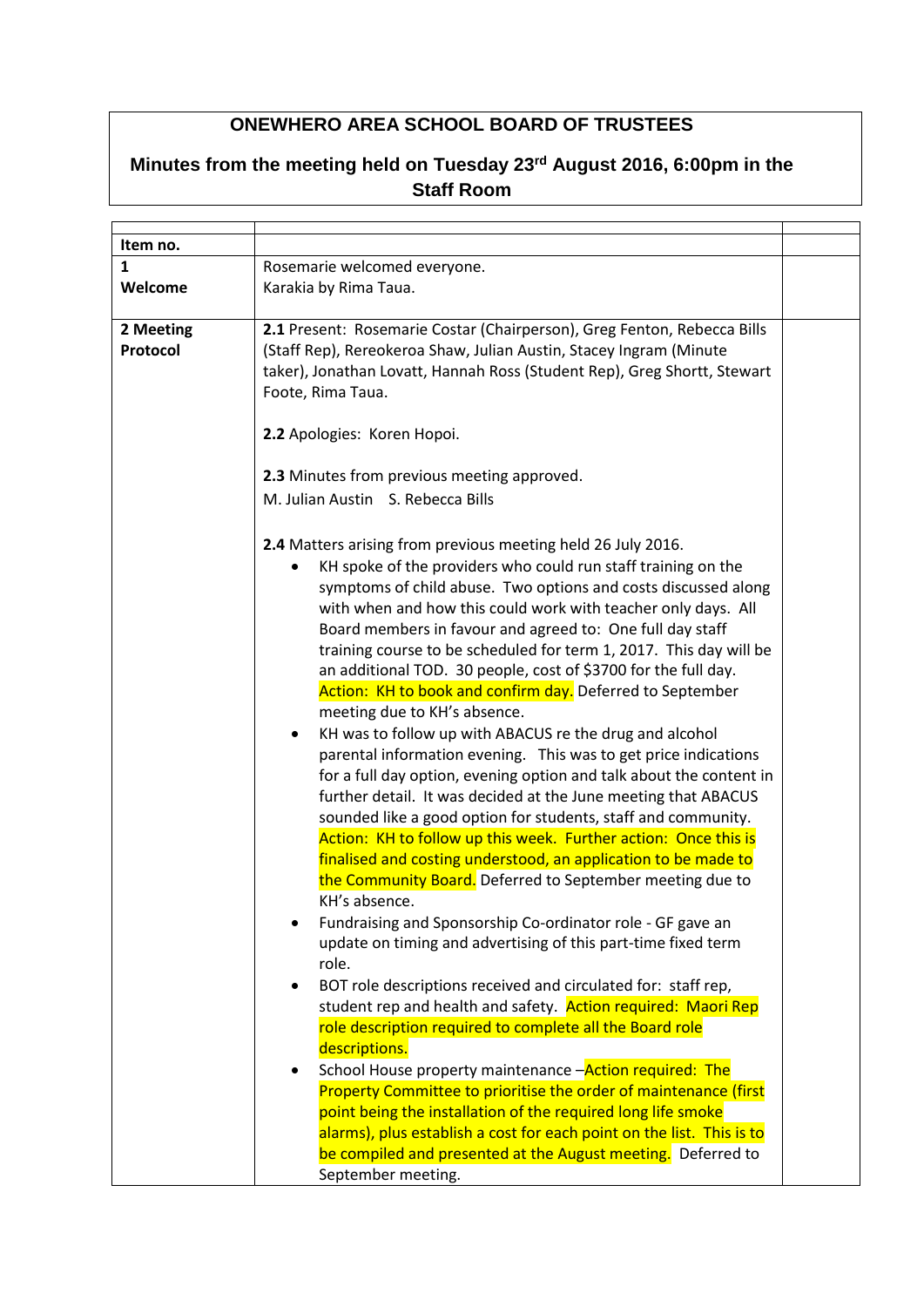## **ONEWHERO AREA SCHOOL BOARD OF TRUSTEES**

## **Minutes from the meeting held on Tuesday 23rd August 2016, 6:00pm in the Staff Room**

| Item no.  |                                                                            |  |
|-----------|----------------------------------------------------------------------------|--|
| 1         | Rosemarie welcomed everyone.                                               |  |
| Welcome   | Karakia by Rima Taua.                                                      |  |
|           |                                                                            |  |
| 2 Meeting | 2.1 Present: Rosemarie Costar (Chairperson), Greg Fenton, Rebecca Bills    |  |
| Protocol  | (Staff Rep), Rereokeroa Shaw, Julian Austin, Stacey Ingram (Minute         |  |
|           | taker), Jonathan Lovatt, Hannah Ross (Student Rep), Greg Shortt, Stewart   |  |
|           | Foote, Rima Taua.                                                          |  |
|           |                                                                            |  |
|           | 2.2 Apologies: Koren Hopoi.                                                |  |
|           |                                                                            |  |
|           | 2.3 Minutes from previous meeting approved.                                |  |
|           | M. Julian Austin S. Rebecca Bills                                          |  |
|           |                                                                            |  |
|           | 2.4 Matters arising from previous meeting held 26 July 2016.               |  |
|           | KH spoke of the providers who could run staff training on the<br>$\bullet$ |  |
|           | symptoms of child abuse. Two options and costs discussed along             |  |
|           | with when and how this could work with teacher only days. All              |  |
|           | Board members in favour and agreed to: One full day staff                  |  |
|           |                                                                            |  |
|           | training course to be scheduled for term 1, 2017. This day will be         |  |
|           | an additional TOD. 30 people, cost of \$3700 for the full day.             |  |
|           | Action: KH to book and confirm day. Deferred to September                  |  |
|           | meeting due to KH's absence.                                               |  |
|           | KH was to follow up with ABACUS re the drug and alcohol<br>$\bullet$       |  |
|           | parental information evening. This was to get price indications            |  |
|           | for a full day option, evening option and talk about the content in        |  |
|           | further detail. It was decided at the June meeting that ABACUS             |  |
|           | sounded like a good option for students, staff and community.              |  |
|           | Action: KH to follow up this week. Further action: Once this is            |  |
|           | finalised and costing understood, an application to be made to             |  |
|           | the Community Board. Deferred to September meeting due to                  |  |
|           | KH's absence.                                                              |  |
|           | Fundraising and Sponsorship Co-ordinator role - GF gave an                 |  |
|           | update on timing and advertising of this part-time fixed term              |  |
|           | role.                                                                      |  |
|           | BOT role descriptions received and circulated for: staff rep,<br>$\bullet$ |  |
|           | student rep and health and safety. Action required: Maori Rep              |  |
|           | role description required to complete all the Board role                   |  |
|           | descriptions.                                                              |  |
|           | School House property maintenance -Action required: The<br>٠               |  |
|           | Property Committee to prioritise the order of maintenance (first           |  |
|           | point being the installation of the required long life smoke               |  |
|           | alarms), plus establish a cost for each point on the list. This is to      |  |
|           | be compiled and presented at the August meeting. Deferred to               |  |
|           | September meeting.                                                         |  |
|           |                                                                            |  |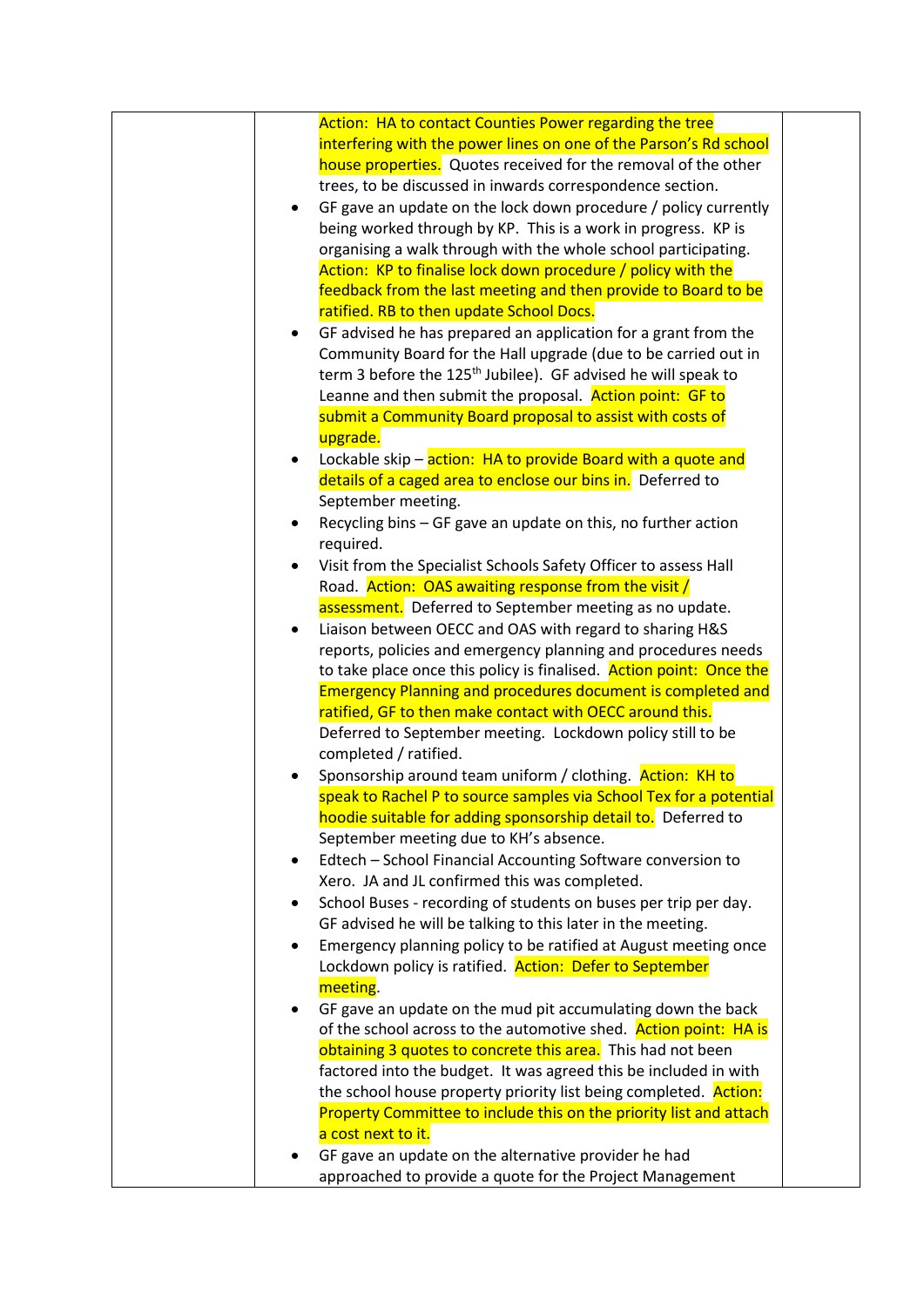| Action: HA to contact Counties Power regarding the tree                   |  |
|---------------------------------------------------------------------------|--|
| interfering with the power lines on one of the Parson's Rd school         |  |
| house properties. Quotes received for the removal of the other            |  |
| trees, to be discussed in inwards correspondence section.                 |  |
| GF gave an update on the lock down procedure / policy currently<br>٠      |  |
| being worked through by KP. This is a work in progress. KP is             |  |
| organising a walk through with the whole school participating.            |  |
| Action: KP to finalise lock down procedure / policy with the              |  |
| feedback from the last meeting and then provide to Board to be            |  |
| ratified. RB to then update School Docs.                                  |  |
| GF advised he has prepared an application for a grant from the            |  |
| Community Board for the Hall upgrade (due to be carried out in            |  |
| term 3 before the 125 <sup>th</sup> Jubilee). GF advised he will speak to |  |
| Leanne and then submit the proposal. Action point: GF to                  |  |
| submit a Community Board proposal to assist with costs of                 |  |
| upgrade.                                                                  |  |
| Lockable skip - action: HA to provide Board with a quote and<br>$\bullet$ |  |
| details of a caged area to enclose our bins in. Deferred to               |  |
| September meeting.                                                        |  |
| Recycling bins - GF gave an update on this, no further action             |  |
| required.                                                                 |  |
| Visit from the Specialist Schools Safety Officer to assess Hall           |  |
| Road. Action: OAS awaiting response from the visit /                      |  |
| assessment. Deferred to September meeting as no update.                   |  |
| Liaison between OECC and OAS with regard to sharing H&S<br>٠              |  |
| reports, policies and emergency planning and procedures needs             |  |
| to take place once this policy is finalised. Action point: Once the       |  |
| <b>Emergency Planning and procedures document is completed and</b>        |  |
| ratified, GF to then make contact with OECC around this.                  |  |
| Deferred to September meeting. Lockdown policy still to be                |  |
| completed / ratified.                                                     |  |
| Sponsorship around team uniform / clothing. Action: KH to                 |  |
| speak to Rachel P to source samples via School Tex for a potential        |  |
| hoodie suitable for adding sponsorship detail to. Deferred to             |  |
|                                                                           |  |
| September meeting due to KH's absence.                                    |  |
| Edtech - School Financial Accounting Software conversion to<br>٠          |  |
| Xero. JA and JL confirmed this was completed.                             |  |
| School Buses - recording of students on buses per trip per day.           |  |
| GF advised he will be talking to this later in the meeting.               |  |
| Emergency planning policy to be ratified at August meeting once           |  |
| Lockdown policy is ratified. Action: Defer to September                   |  |
| meeting.                                                                  |  |
| GF gave an update on the mud pit accumulating down the back               |  |
| of the school across to the automotive shed. Action point: HA is          |  |
| obtaining 3 quotes to concrete this area. This had not been               |  |
| factored into the budget. It was agreed this be included in with          |  |
| the school house property priority list being completed. Action:          |  |
| Property Committee to include this on the priority list and attach        |  |
| a cost next to it.                                                        |  |
| GF gave an update on the alternative provider he had                      |  |
| approached to provide a quote for the Project Management                  |  |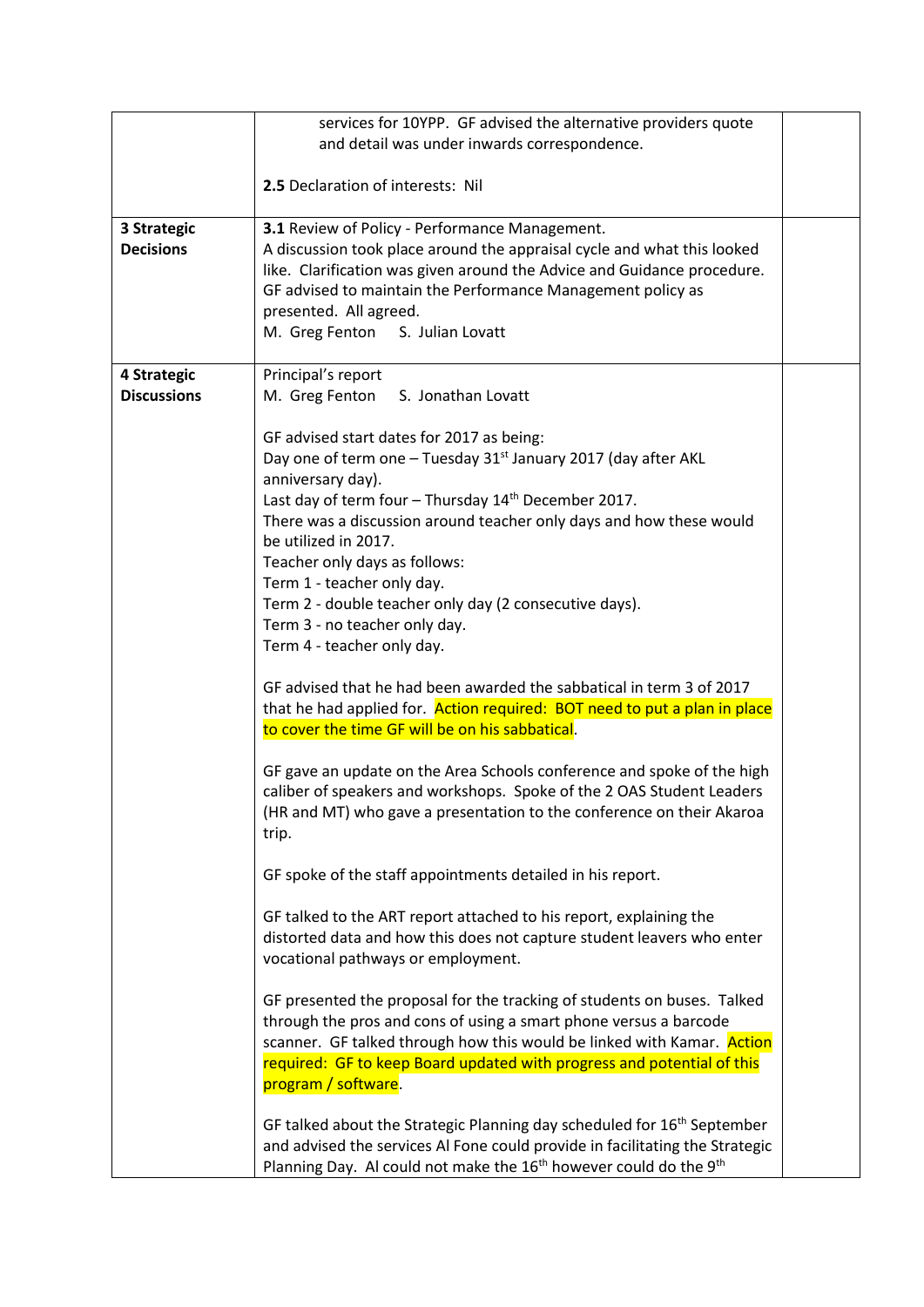|                                 | services for 10YPP. GF advised the alternative providers quote                                                                                                                                                                                                                                                                                                                                                                                                                                          |  |
|---------------------------------|---------------------------------------------------------------------------------------------------------------------------------------------------------------------------------------------------------------------------------------------------------------------------------------------------------------------------------------------------------------------------------------------------------------------------------------------------------------------------------------------------------|--|
|                                 | and detail was under inwards correspondence.                                                                                                                                                                                                                                                                                                                                                                                                                                                            |  |
|                                 | 2.5 Declaration of interests: Nil                                                                                                                                                                                                                                                                                                                                                                                                                                                                       |  |
| 3 Strategic<br><b>Decisions</b> | 3.1 Review of Policy - Performance Management.<br>A discussion took place around the appraisal cycle and what this looked<br>like. Clarification was given around the Advice and Guidance procedure.<br>GF advised to maintain the Performance Management policy as<br>presented. All agreed.<br>M. Greg Fenton<br>S. Julian Lovatt                                                                                                                                                                     |  |
| 4 Strategic                     | Principal's report                                                                                                                                                                                                                                                                                                                                                                                                                                                                                      |  |
| <b>Discussions</b>              | M. Greg Fenton S. Jonathan Lovatt                                                                                                                                                                                                                                                                                                                                                                                                                                                                       |  |
|                                 | GF advised start dates for 2017 as being:<br>Day one of term one - Tuesday 31 <sup>st</sup> January 2017 (day after AKL<br>anniversary day).<br>Last day of term four - Thursday 14 <sup>th</sup> December 2017.<br>There was a discussion around teacher only days and how these would<br>be utilized in 2017.<br>Teacher only days as follows:<br>Term 1 - teacher only day.<br>Term 2 - double teacher only day (2 consecutive days).<br>Term 3 - no teacher only day.<br>Term 4 - teacher only day. |  |
|                                 | GF advised that he had been awarded the sabbatical in term 3 of 2017<br>that he had applied for. Action required: BOT need to put a plan in place<br>to cover the time GF will be on his sabbatical.                                                                                                                                                                                                                                                                                                    |  |
|                                 | GF gave an update on the Area Schools conference and spoke of the high<br>caliber of speakers and workshops. Spoke of the 2 OAS Student Leaders<br>(HR and MT) who gave a presentation to the conference on their Akaroa<br>trip.                                                                                                                                                                                                                                                                       |  |
|                                 | GF spoke of the staff appointments detailed in his report.                                                                                                                                                                                                                                                                                                                                                                                                                                              |  |
|                                 | GF talked to the ART report attached to his report, explaining the<br>distorted data and how this does not capture student leavers who enter<br>vocational pathways or employment.                                                                                                                                                                                                                                                                                                                      |  |
|                                 | GF presented the proposal for the tracking of students on buses. Talked<br>through the pros and cons of using a smart phone versus a barcode<br>scanner. GF talked through how this would be linked with Kamar. Action<br>required: GF to keep Board updated with progress and potential of this<br>program / software.                                                                                                                                                                                 |  |
|                                 | GF talked about the Strategic Planning day scheduled for 16 <sup>th</sup> September<br>and advised the services Al Fone could provide in facilitating the Strategic<br>Planning Day. Al could not make the 16 <sup>th</sup> however could do the 9 <sup>th</sup>                                                                                                                                                                                                                                        |  |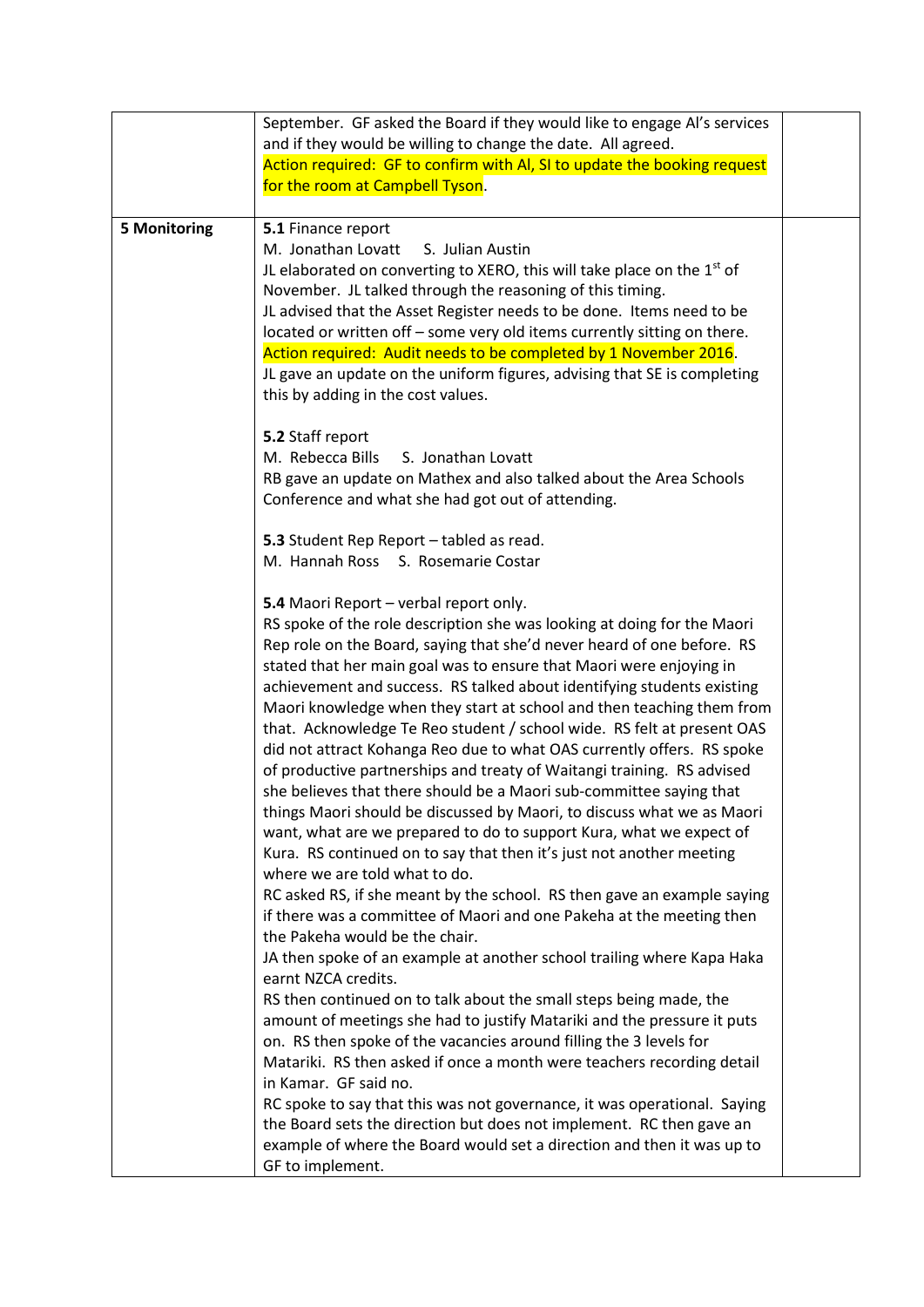|                     | September. GF asked the Board if they would like to engage AI's services<br>and if they would be willing to change the date. All agreed.<br>Action required: GF to confirm with AI, SI to update the booking request<br>for the room at Campbell Tyson.                                                                                                                                                                                                                                                                                                                                                                                                                                                                                                                                                                                                                                                                                                                                                                                                                                                                                                                                                                                                                                                                                                                                                                                                                                                                                                                                                                                                                                                                                                  |  |
|---------------------|----------------------------------------------------------------------------------------------------------------------------------------------------------------------------------------------------------------------------------------------------------------------------------------------------------------------------------------------------------------------------------------------------------------------------------------------------------------------------------------------------------------------------------------------------------------------------------------------------------------------------------------------------------------------------------------------------------------------------------------------------------------------------------------------------------------------------------------------------------------------------------------------------------------------------------------------------------------------------------------------------------------------------------------------------------------------------------------------------------------------------------------------------------------------------------------------------------------------------------------------------------------------------------------------------------------------------------------------------------------------------------------------------------------------------------------------------------------------------------------------------------------------------------------------------------------------------------------------------------------------------------------------------------------------------------------------------------------------------------------------------------|--|
| <b>5 Monitoring</b> | 5.1 Finance report<br>M. Jonathan Lovatt<br>S. Julian Austin<br>JL elaborated on converting to XERO, this will take place on the $1st$ of<br>November. JL talked through the reasoning of this timing.<br>JL advised that the Asset Register needs to be done. Items need to be<br>located or written off - some very old items currently sitting on there.<br>Action required: Audit needs to be completed by 1 November 2016.<br>JL gave an update on the uniform figures, advising that SE is completing<br>this by adding in the cost values.                                                                                                                                                                                                                                                                                                                                                                                                                                                                                                                                                                                                                                                                                                                                                                                                                                                                                                                                                                                                                                                                                                                                                                                                        |  |
|                     | 5.2 Staff report<br>M. Rebecca Bills<br>S. Jonathan Lovatt<br>RB gave an update on Mathex and also talked about the Area Schools<br>Conference and what she had got out of attending.                                                                                                                                                                                                                                                                                                                                                                                                                                                                                                                                                                                                                                                                                                                                                                                                                                                                                                                                                                                                                                                                                                                                                                                                                                                                                                                                                                                                                                                                                                                                                                    |  |
|                     | 5.3 Student Rep Report - tabled as read.<br>M. Hannah Ross S. Rosemarie Costar                                                                                                                                                                                                                                                                                                                                                                                                                                                                                                                                                                                                                                                                                                                                                                                                                                                                                                                                                                                                                                                                                                                                                                                                                                                                                                                                                                                                                                                                                                                                                                                                                                                                           |  |
|                     | 5.4 Maori Report - verbal report only.<br>RS spoke of the role description she was looking at doing for the Maori<br>Rep role on the Board, saying that she'd never heard of one before. RS<br>stated that her main goal was to ensure that Maori were enjoying in<br>achievement and success. RS talked about identifying students existing<br>Maori knowledge when they start at school and then teaching them from<br>that. Acknowledge Te Reo student / school wide. RS felt at present OAS<br>did not attract Kohanga Reo due to what OAS currently offers. RS spoke<br>of productive partnerships and treaty of Waitangi training. RS advised<br>she believes that there should be a Maori sub-committee saying that<br>things Maori should be discussed by Maori, to discuss what we as Maori<br>want, what are we prepared to do to support Kura, what we expect of<br>Kura. RS continued on to say that then it's just not another meeting<br>where we are told what to do.<br>RC asked RS, if she meant by the school. RS then gave an example saying<br>if there was a committee of Maori and one Pakeha at the meeting then<br>the Pakeha would be the chair.<br>JA then spoke of an example at another school trailing where Kapa Haka<br>earnt NZCA credits.<br>RS then continued on to talk about the small steps being made, the<br>amount of meetings she had to justify Matariki and the pressure it puts<br>on. RS then spoke of the vacancies around filling the 3 levels for<br>Matariki. RS then asked if once a month were teachers recording detail<br>in Kamar. GF said no.<br>RC spoke to say that this was not governance, it was operational. Saying<br>the Board sets the direction but does not implement. RC then gave an |  |
|                     | example of where the Board would set a direction and then it was up to<br>GF to implement.                                                                                                                                                                                                                                                                                                                                                                                                                                                                                                                                                                                                                                                                                                                                                                                                                                                                                                                                                                                                                                                                                                                                                                                                                                                                                                                                                                                                                                                                                                                                                                                                                                                               |  |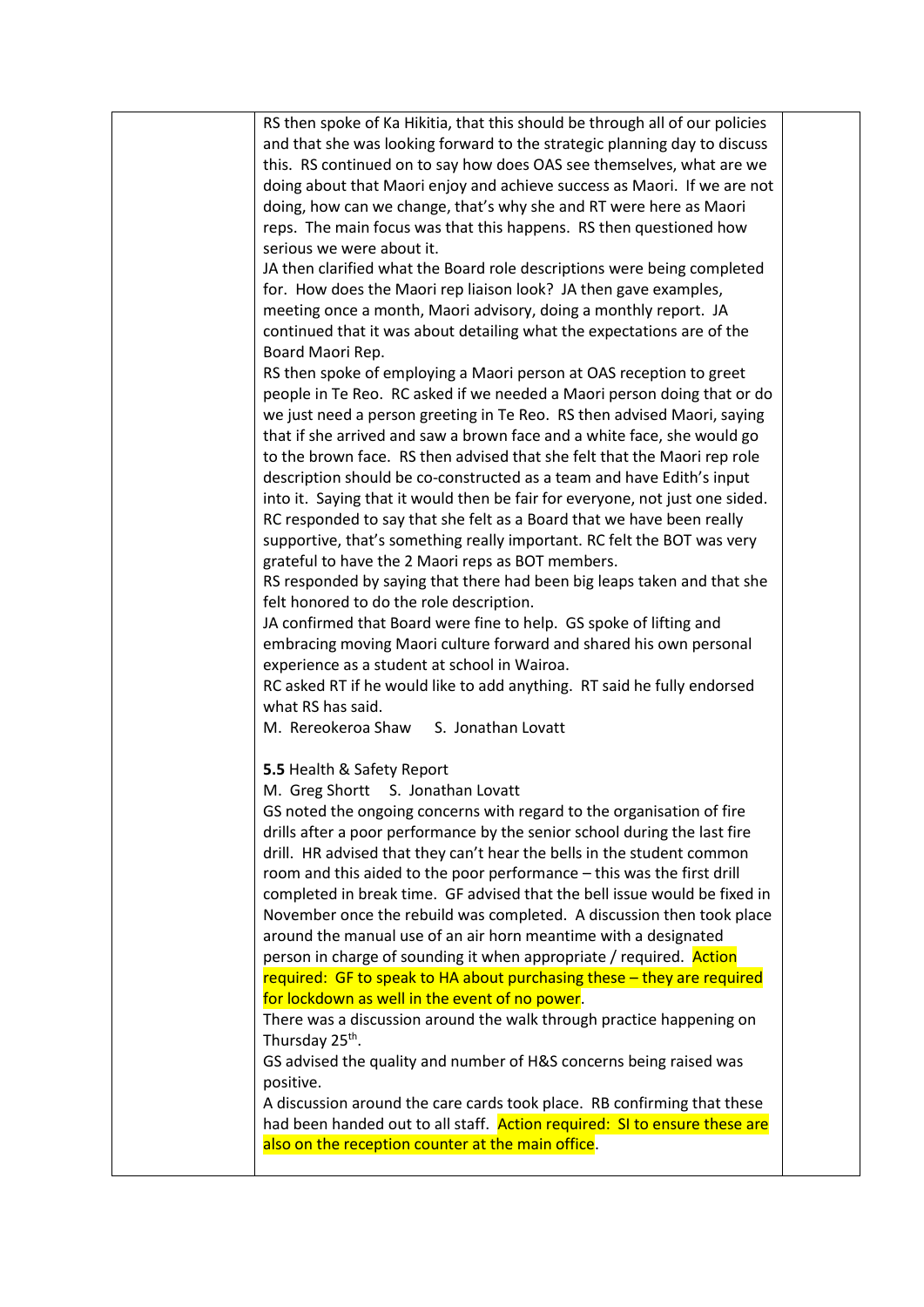| RS then spoke of Ka Hikitia, that this should be through all of our policies |  |
|------------------------------------------------------------------------------|--|
| and that she was looking forward to the strategic planning day to discuss    |  |
| this. RS continued on to say how does OAS see themselves, what are we        |  |
| doing about that Maori enjoy and achieve success as Maori. If we are not     |  |
| doing, how can we change, that's why she and RT were here as Maori           |  |
| reps. The main focus was that this happens. RS then questioned how           |  |
| serious we were about it.                                                    |  |
| JA then clarified what the Board role descriptions were being completed      |  |
| for. How does the Maori rep liaison look? JA then gave examples,             |  |
|                                                                              |  |
| meeting once a month, Maori advisory, doing a monthly report. JA             |  |
| continued that it was about detailing what the expectations are of the       |  |
| Board Maori Rep.                                                             |  |
| RS then spoke of employing a Maori person at OAS reception to greet          |  |
| people in Te Reo. RC asked if we needed a Maori person doing that or do      |  |
| we just need a person greeting in Te Reo. RS then advised Maori, saying      |  |
| that if she arrived and saw a brown face and a white face, she would go      |  |
| to the brown face. RS then advised that she felt that the Maori rep role     |  |
| description should be co-constructed as a team and have Edith's input        |  |
| into it. Saying that it would then be fair for everyone, not just one sided. |  |
| RC responded to say that she felt as a Board that we have been really        |  |
| supportive, that's something really important. RC felt the BOT was very      |  |
| grateful to have the 2 Maori reps as BOT members.                            |  |
| RS responded by saying that there had been big leaps taken and that she      |  |
| felt honored to do the role description.                                     |  |
| JA confirmed that Board were fine to help. GS spoke of lifting and           |  |
| embracing moving Maori culture forward and shared his own personal           |  |
| experience as a student at school in Wairoa.                                 |  |
| RC asked RT if he would like to add anything. RT said he fully endorsed      |  |
| what RS has said.                                                            |  |
| M. Rereokeroa Shaw S. Jonathan Lovatt                                        |  |
|                                                                              |  |
| 5.5 Health & Safety Report                                                   |  |
| M. Greg Shortt S. Jonathan Lovatt                                            |  |
| GS noted the ongoing concerns with regard to the organisation of fire        |  |
| drills after a poor performance by the senior school during the last fire    |  |
| drill. HR advised that they can't hear the bells in the student common       |  |
| room and this aided to the poor performance - this was the first drill       |  |
| completed in break time. GF advised that the bell issue would be fixed in    |  |
| November once the rebuild was completed. A discussion then took place        |  |
|                                                                              |  |
| around the manual use of an air horn meantime with a designated              |  |
| person in charge of sounding it when appropriate / required. Action          |  |
| required: GF to speak to HA about purchasing these - they are required       |  |
| for lockdown as well in the event of no power.                               |  |
| There was a discussion around the walk through practice happening on         |  |
| Thursday 25 <sup>th</sup> .                                                  |  |
| GS advised the quality and number of H&S concerns being raised was           |  |
| positive.                                                                    |  |
| A discussion around the care cards took place. RB confirming that these      |  |
| had been handed out to all staff. Action required: SI to ensure these are    |  |
| also on the reception counter at the main office.                            |  |
|                                                                              |  |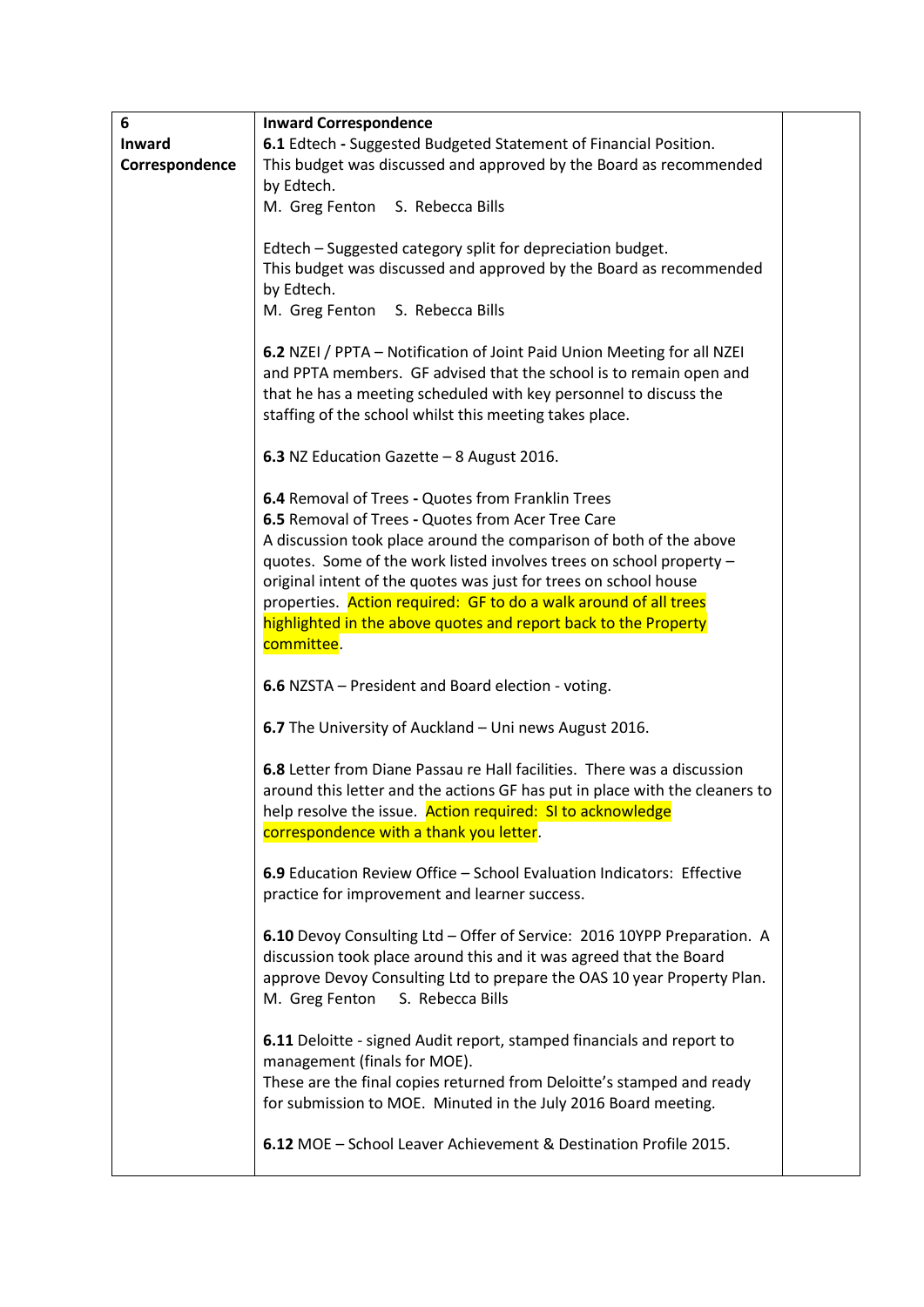| 6              | <b>Inward Correspondence</b>                                                                                                              |  |
|----------------|-------------------------------------------------------------------------------------------------------------------------------------------|--|
| Inward         | 6.1 Edtech - Suggested Budgeted Statement of Financial Position.                                                                          |  |
| Correspondence | This budget was discussed and approved by the Board as recommended                                                                        |  |
|                | by Edtech.                                                                                                                                |  |
|                | M. Greg Fenton S. Rebecca Bills                                                                                                           |  |
|                |                                                                                                                                           |  |
|                | Edtech - Suggested category split for depreciation budget.                                                                                |  |
|                | This budget was discussed and approved by the Board as recommended                                                                        |  |
|                | by Edtech.                                                                                                                                |  |
|                | M. Greg Fenton S. Rebecca Bills                                                                                                           |  |
|                | 6.2 NZEI / PPTA - Notification of Joint Paid Union Meeting for all NZEI                                                                   |  |
|                | and PPTA members. GF advised that the school is to remain open and                                                                        |  |
|                | that he has a meeting scheduled with key personnel to discuss the                                                                         |  |
|                | staffing of the school whilst this meeting takes place.                                                                                   |  |
|                |                                                                                                                                           |  |
|                | 6.3 NZ Education Gazette - 8 August 2016.                                                                                                 |  |
|                |                                                                                                                                           |  |
|                | 6.4 Removal of Trees - Quotes from Franklin Trees                                                                                         |  |
|                | 6.5 Removal of Trees - Quotes from Acer Tree Care                                                                                         |  |
|                | A discussion took place around the comparison of both of the above                                                                        |  |
|                | quotes. Some of the work listed involves trees on school property -                                                                       |  |
|                | original intent of the quotes was just for trees on school house                                                                          |  |
|                | properties. Action required: GF to do a walk around of all trees                                                                          |  |
|                | highlighted in the above quotes and report back to the Property                                                                           |  |
|                | committee.                                                                                                                                |  |
|                |                                                                                                                                           |  |
|                | 6.6 NZSTA - President and Board election - voting.                                                                                        |  |
|                | 6.7 The University of Auckland - Uni news August 2016.                                                                                    |  |
|                |                                                                                                                                           |  |
|                | 6.8 Letter from Diane Passau re Hall facilities. There was a discussion                                                                   |  |
|                | around this letter and the actions GF has put in place with the cleaners to<br>help resolve the issue. Action required: SI to acknowledge |  |
|                | correspondence with a thank you letter.                                                                                                   |  |
|                |                                                                                                                                           |  |
|                | 6.9 Education Review Office - School Evaluation Indicators: Effective                                                                     |  |
|                | practice for improvement and learner success.                                                                                             |  |
|                |                                                                                                                                           |  |
|                | 6.10 Devoy Consulting Ltd - Offer of Service: 2016 10YPP Preparation. A                                                                   |  |
|                | discussion took place around this and it was agreed that the Board                                                                        |  |
|                | approve Devoy Consulting Ltd to prepare the OAS 10 year Property Plan.                                                                    |  |
|                | M. Greg Fenton<br>S. Rebecca Bills                                                                                                        |  |
|                |                                                                                                                                           |  |
|                | 6.11 Deloitte - signed Audit report, stamped financials and report to                                                                     |  |
|                | management (finals for MOE).                                                                                                              |  |
|                | These are the final copies returned from Deloitte's stamped and ready                                                                     |  |
|                | for submission to MOE. Minuted in the July 2016 Board meeting.                                                                            |  |
|                | 6.12 MOE - School Leaver Achievement & Destination Profile 2015.                                                                          |  |
|                |                                                                                                                                           |  |
|                |                                                                                                                                           |  |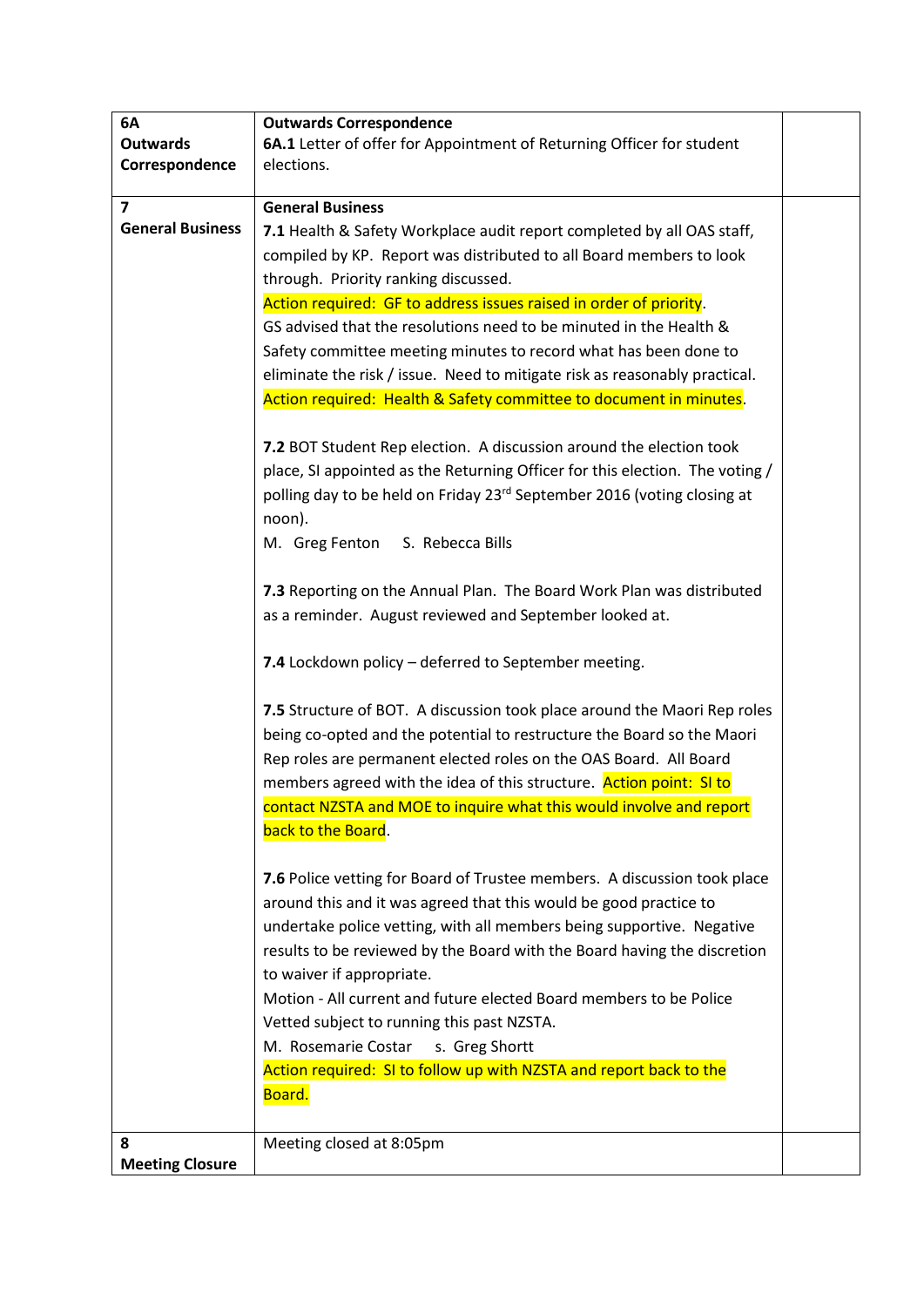| 6A                      | <b>Outwards Correspondence</b>                                               |  |
|-------------------------|------------------------------------------------------------------------------|--|
| <b>Outwards</b>         | 6A.1 Letter of offer for Appointment of Returning Officer for student        |  |
| Correspondence          | elections.                                                                   |  |
|                         |                                                                              |  |
| $\overline{\mathbf{z}}$ | <b>General Business</b>                                                      |  |
| <b>General Business</b> | 7.1 Health & Safety Workplace audit report completed by all OAS staff,       |  |
|                         | compiled by KP. Report was distributed to all Board members to look          |  |
|                         | through. Priority ranking discussed.                                         |  |
|                         | Action required: GF to address issues raised in order of priority.           |  |
|                         | GS advised that the resolutions need to be minuted in the Health &           |  |
|                         | Safety committee meeting minutes to record what has been done to             |  |
|                         | eliminate the risk / issue. Need to mitigate risk as reasonably practical.   |  |
|                         | Action required: Health & Safety committee to document in minutes.           |  |
|                         |                                                                              |  |
|                         | 7.2 BOT Student Rep election. A discussion around the election took          |  |
|                         |                                                                              |  |
|                         | place, SI appointed as the Returning Officer for this election. The voting / |  |
|                         | polling day to be held on Friday 23rd September 2016 (voting closing at      |  |
|                         | noon).                                                                       |  |
|                         | M. Greg Fenton S. Rebecca Bills                                              |  |
|                         |                                                                              |  |
|                         | 7.3 Reporting on the Annual Plan. The Board Work Plan was distributed        |  |
|                         | as a reminder. August reviewed and September looked at.                      |  |
|                         |                                                                              |  |
|                         | 7.4 Lockdown policy - deferred to September meeting.                         |  |
|                         |                                                                              |  |
|                         | 7.5 Structure of BOT. A discussion took place around the Maori Rep roles     |  |
|                         | being co-opted and the potential to restructure the Board so the Maori       |  |
|                         | Rep roles are permanent elected roles on the OAS Board. All Board            |  |
|                         | members agreed with the idea of this structure. Action point: SI to          |  |
|                         | contact NZSTA and MOE to inquire what this would involve and report          |  |
|                         | back to the Board.                                                           |  |
|                         |                                                                              |  |
|                         | 7.6 Police vetting for Board of Trustee members. A discussion took place     |  |
|                         | around this and it was agreed that this would be good practice to            |  |
|                         | undertake police vetting, with all members being supportive. Negative        |  |
|                         | results to be reviewed by the Board with the Board having the discretion     |  |
|                         | to waiver if appropriate.                                                    |  |
|                         |                                                                              |  |
|                         | Motion - All current and future elected Board members to be Police           |  |
|                         | Vetted subject to running this past NZSTA.                                   |  |
|                         | M. Rosemarie Costar<br>s. Greg Shortt                                        |  |
|                         | Action required: SI to follow up with NZSTA and report back to the           |  |
|                         | Board.                                                                       |  |
|                         |                                                                              |  |
| 8                       | Meeting closed at 8:05pm                                                     |  |
| <b>Meeting Closure</b>  |                                                                              |  |